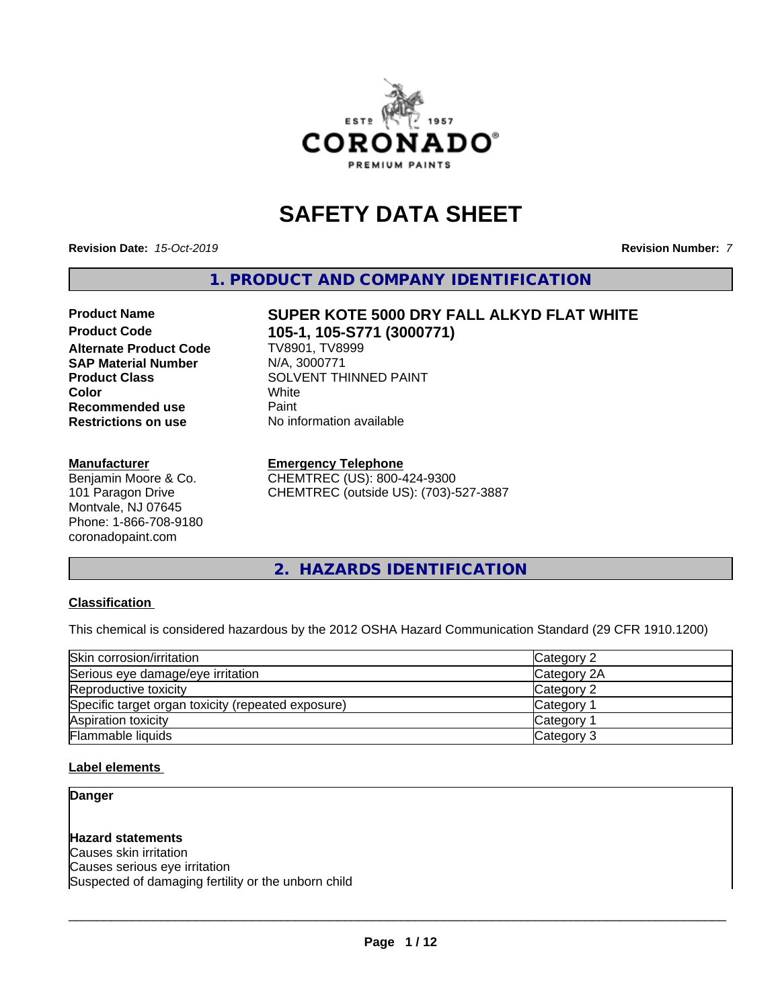

# **SAFETY DATA SHEET**

**Revision Date:** *15-Oct-2019* **Revision Number:** *7*

**Alternate Product Code** 

**1. PRODUCT AND COMPANY IDENTIFICATION**

# Product Name **SUPER KOTE 5000 DRY FALL ALKYD FLAT WHITE**<br>Product Code 105-11 105-8771 (3000771)

**105-1, 105-S771 (3000771)**<br>TV8901, TV8999 **SAP Material Number** N/A, 3000771 **Product Class**<br>
Color<br>
White<br>
White **Color** White **Recommended use** Paint<br> **Restrictions on use No information available** 

#### **Manufacturer**

**Restrictions on use** 

Benjamin Moore & Co. 101 Paragon Drive Montvale, NJ 07645 Phone: 1-866-708-9180 coronadopaint.com

**Emergency Telephone** CHEMTREC (US): 800-424-9300 CHEMTREC (outside US): (703)-527-3887

**2. HAZARDS IDENTIFICATION**

#### **Classification**

This chemical is considered hazardous by the 2012 OSHA Hazard Communication Standard (29 CFR 1910.1200)

| Skin corrosion/irritation                          | Category 2            |  |
|----------------------------------------------------|-----------------------|--|
| Serious eye damage/eye irritation                  | Category 2A           |  |
| Reproductive toxicity                              | Category 2            |  |
| Specific target organ toxicity (repeated exposure) | Category <sup>2</sup> |  |
| Aspiration toxicity                                | Category <sup>2</sup> |  |
| Flammable liquids                                  | Category 3            |  |

#### **Label elements**

**Danger**

**Hazard statements** Causes skin irritation Causes serious eye irritation Suspected of damaging fertility or the unborn child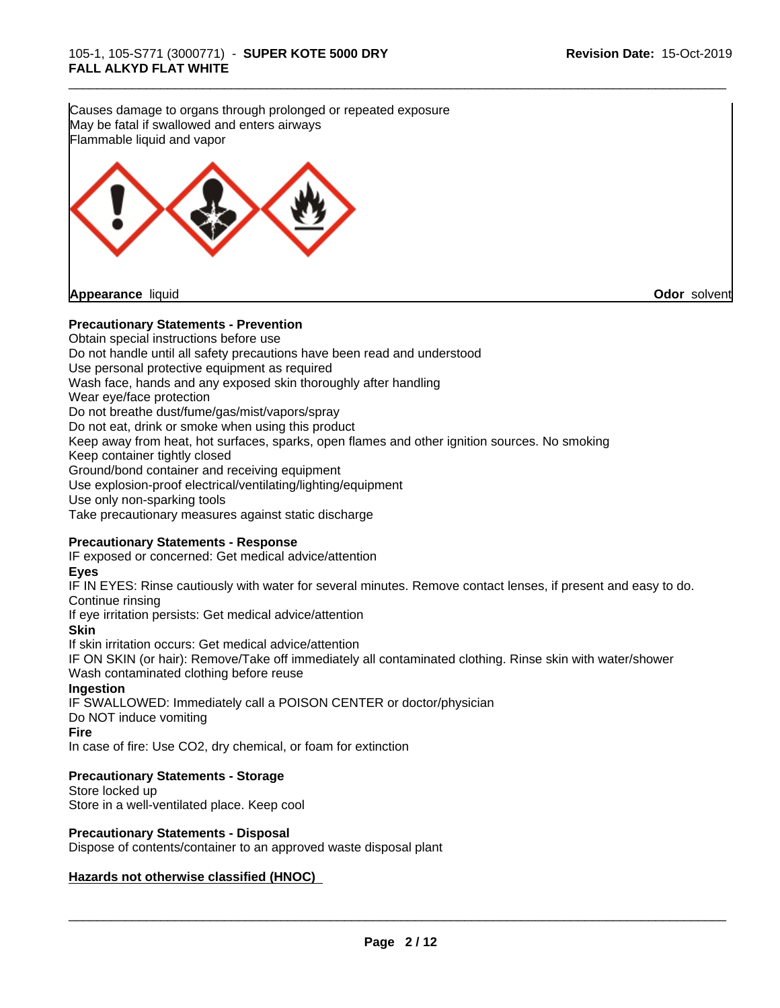**Precautionary Statements - Prevention** Obtain special instructions before use Do not handle until all safety precautions have been read and understood Use personal protective equipment as required Wash face, hands and any exposed skin thoroughly after handling Wear eye/face protection Do not breathe dust/fume/gas/mist/vapors/spray Do not eat, drink or smoke when using this product Keep away from heat, hot surfaces, sparks, open flames and other ignition sources. No smoking Keep container tightly closed Ground/bond container and receiving equipment Use explosion-proof electrical/ventilating/lighting/equipment Use only non-sparking tools Take precautionary measures against static discharge **Precautionary Statements - Response** IF exposed or concerned: Get medical advice/attention **Eyes** IF IN EYES: Rinse cautiously with water for several minutes. Remove contact lenses, if present and easy to do. Continue rinsing If eye irritation persists: Get medical advice/attention **Skin** If skin irritation occurs: Get medical advice/attention IF ON SKIN (or hair): Remove/Take off immediately all contaminated clothing. Rinse skin with water/shower Wash contaminated clothing before reuse **Ingestion** IF SWALLOWED: Immediately call a POISON CENTER or doctor/physician Do NOT induce vomiting **Fire** In case of fire: Use CO2, dry chemical, or foam for extinction **Precautionary Statements - Storage** Store locked up Store in a well-ventilated place. Keep cool **Precautionary Statements - Disposal** Dispose of contents/container to an approved waste disposal plant **Hazards not otherwise classified (HNOC)** Causes damage to organs through prolonged or repeated exposure May be fatal if swallowed and enters airways Flammable liquid and vapor **Appearance** liquid **Odor** solvent

\_\_\_\_\_\_\_\_\_\_\_\_\_\_\_\_\_\_\_\_\_\_\_\_\_\_\_\_\_\_\_\_\_\_\_\_\_\_\_\_\_\_\_\_\_\_\_\_\_\_\_\_\_\_\_\_\_\_\_\_\_\_\_\_\_\_\_\_\_\_\_\_\_\_\_\_\_\_\_\_\_\_\_\_\_\_\_\_\_\_\_\_\_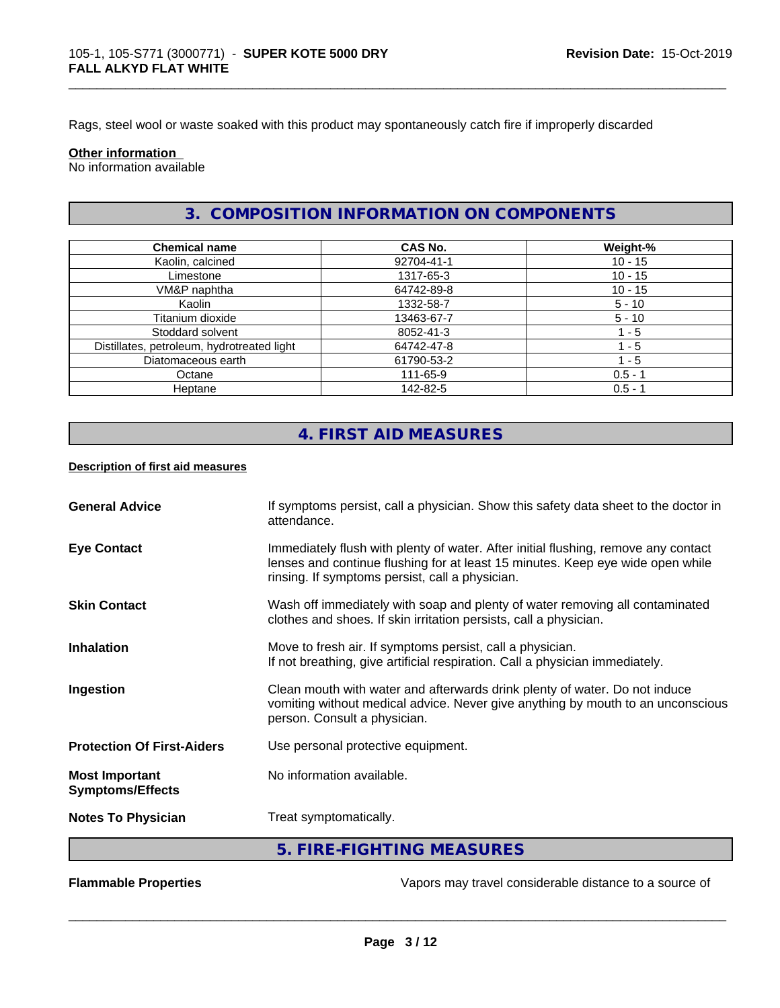Rags, steel wool or waste soaked with this product may spontaneously catch fire if improperly discarded

#### **Other information**

No information available

### **3. COMPOSITION INFORMATION ON COMPONENTS**

\_\_\_\_\_\_\_\_\_\_\_\_\_\_\_\_\_\_\_\_\_\_\_\_\_\_\_\_\_\_\_\_\_\_\_\_\_\_\_\_\_\_\_\_\_\_\_\_\_\_\_\_\_\_\_\_\_\_\_\_\_\_\_\_\_\_\_\_\_\_\_\_\_\_\_\_\_\_\_\_\_\_\_\_\_\_\_\_\_\_\_\_\_

| <b>Chemical name</b>                       | CAS No.    | Weight-%  |
|--------------------------------------------|------------|-----------|
| Kaolin, calcined                           | 92704-41-1 | $10 - 15$ |
| Limestone                                  | 1317-65-3  | $10 - 15$ |
| VM&P naphtha                               | 64742-89-8 | $10 - 15$ |
| Kaolin                                     | 1332-58-7  | $5 - 10$  |
| Titanium dioxide                           | 13463-67-7 | $5 - 10$  |
| Stoddard solvent                           | 8052-41-3  | $1 - 5$   |
| Distillates, petroleum, hydrotreated light | 64742-47-8 | 1 - 5     |
| Diatomaceous earth                         | 61790-53-2 | - 5       |
| Octane                                     | 111-65-9   | $0.5 - 1$ |
| Heptane                                    | 142-82-5   | $0.5 - 1$ |

## **4. FIRST AID MEASURES**

#### **Description of first aid measures**

| <b>General Advice</b>                            | If symptoms persist, call a physician. Show this safety data sheet to the doctor in<br>attendance.                                                                                                                      |
|--------------------------------------------------|-------------------------------------------------------------------------------------------------------------------------------------------------------------------------------------------------------------------------|
| <b>Eye Contact</b>                               | Immediately flush with plenty of water. After initial flushing, remove any contact<br>lenses and continue flushing for at least 15 minutes. Keep eye wide open while<br>rinsing. If symptoms persist, call a physician. |
| <b>Skin Contact</b>                              | Wash off immediately with soap and plenty of water removing all contaminated<br>clothes and shoes. If skin irritation persists, call a physician.                                                                       |
| <b>Inhalation</b>                                | Move to fresh air. If symptoms persist, call a physician.<br>If not breathing, give artificial respiration. Call a physician immediately.                                                                               |
| Ingestion                                        | Clean mouth with water and afterwards drink plenty of water. Do not induce<br>vomiting without medical advice. Never give anything by mouth to an unconscious<br>person. Consult a physician.                           |
| <b>Protection Of First-Aiders</b>                | Use personal protective equipment.                                                                                                                                                                                      |
| <b>Most Important</b><br><b>Symptoms/Effects</b> | No information available.                                                                                                                                                                                               |
| <b>Notes To Physician</b>                        | Treat symptomatically.                                                                                                                                                                                                  |
|                                                  | 5. FIRE-FIGHTING MEASURES                                                                                                                                                                                               |

**Flammable Properties Exercise Exercise Exercise 2 and Secure 1** Vapors may travel considerable distance to a source of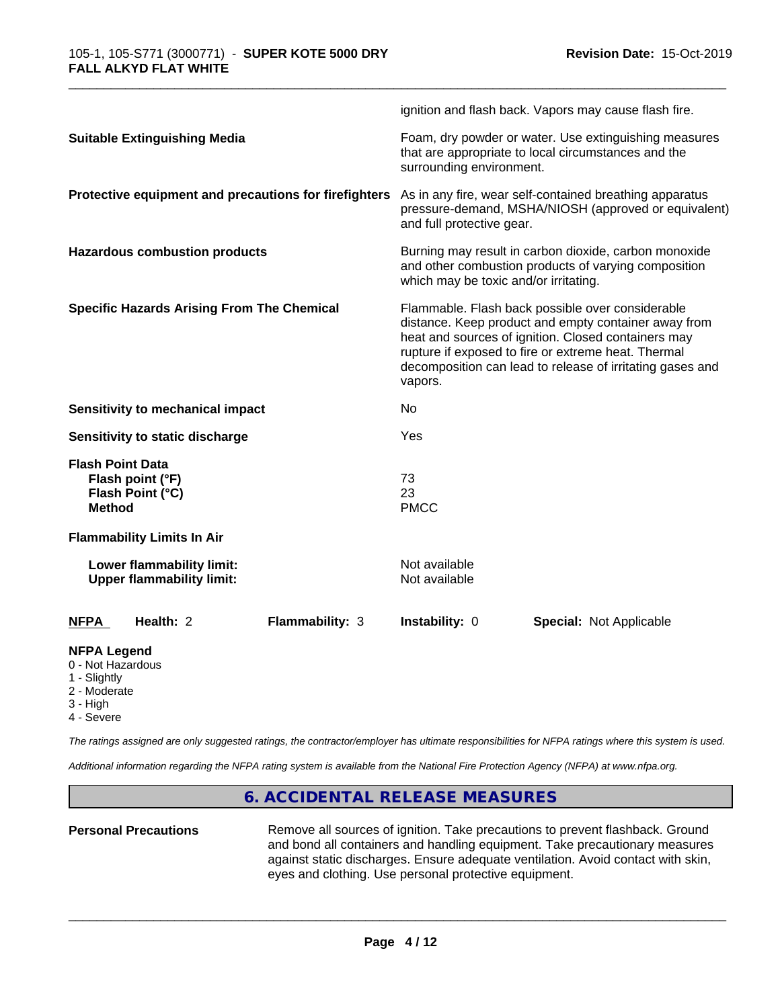|                                                                                     |                                                               |                                                                                                                                                                                                                                                                                                |                                | ignition and flash back. Vapors may cause flash fire.                                                           |  |
|-------------------------------------------------------------------------------------|---------------------------------------------------------------|------------------------------------------------------------------------------------------------------------------------------------------------------------------------------------------------------------------------------------------------------------------------------------------------|--------------------------------|-----------------------------------------------------------------------------------------------------------------|--|
| <b>Suitable Extinguishing Media</b>                                                 |                                                               | Foam, dry powder or water. Use extinguishing measures<br>that are appropriate to local circumstances and the<br>surrounding environment.                                                                                                                                                       |                                |                                                                                                                 |  |
|                                                                                     |                                                               | Protective equipment and precautions for firefighters                                                                                                                                                                                                                                          | and full protective gear.      | As in any fire, wear self-contained breathing apparatus<br>pressure-demand, MSHA/NIOSH (approved or equivalent) |  |
| <b>Hazardous combustion products</b>                                                |                                                               | Burning may result in carbon dioxide, carbon monoxide<br>and other combustion products of varying composition<br>which may be toxic and/or irritating.                                                                                                                                         |                                |                                                                                                                 |  |
| <b>Specific Hazards Arising From The Chemical</b>                                   |                                                               | Flammable. Flash back possible over considerable<br>distance. Keep product and empty container away from<br>heat and sources of ignition. Closed containers may<br>rupture if exposed to fire or extreme heat. Thermal<br>decomposition can lead to release of irritating gases and<br>vapors. |                                |                                                                                                                 |  |
|                                                                                     | Sensitivity to mechanical impact                              |                                                                                                                                                                                                                                                                                                | No                             |                                                                                                                 |  |
|                                                                                     | Sensitivity to static discharge                               |                                                                                                                                                                                                                                                                                                | Yes                            |                                                                                                                 |  |
| <b>Flash Point Data</b><br><b>Method</b>                                            | Flash point (°F)<br>Flash Point (°C)                          |                                                                                                                                                                                                                                                                                                | 73<br>23<br><b>PMCC</b>        |                                                                                                                 |  |
|                                                                                     | <b>Flammability Limits In Air</b>                             |                                                                                                                                                                                                                                                                                                |                                |                                                                                                                 |  |
|                                                                                     | Lower flammability limit:<br><b>Upper flammability limit:</b> |                                                                                                                                                                                                                                                                                                | Not available<br>Not available |                                                                                                                 |  |
| <b>NFPA</b>                                                                         | Health: 2                                                     | <b>Flammability: 3</b>                                                                                                                                                                                                                                                                         | Instability: 0                 | <b>Special: Not Applicable</b>                                                                                  |  |
| <b>NFPA Legend</b><br>0 - Not Hazardous<br>1 - Slightly<br>2 - Moderate<br>3 - High |                                                               |                                                                                                                                                                                                                                                                                                |                                |                                                                                                                 |  |

4 - Severe

*The ratings assigned are only suggested ratings, the contractor/employer has ultimate responsibilities for NFPA ratings where this system is used.*

*Additional information regarding the NFPA rating system is available from the National Fire Protection Agency (NFPA) at www.nfpa.org.*

#### **6. ACCIDENTAL RELEASE MEASURES**

Personal Precautions **Remove all sources of ignition.** Take precautions to prevent flashback. Ground and bond all containers and handling equipment. Take precautionary measures against static discharges. Ensure adequate ventilation. Avoid contact with skin, eyes and clothing. Use personal protective equipment.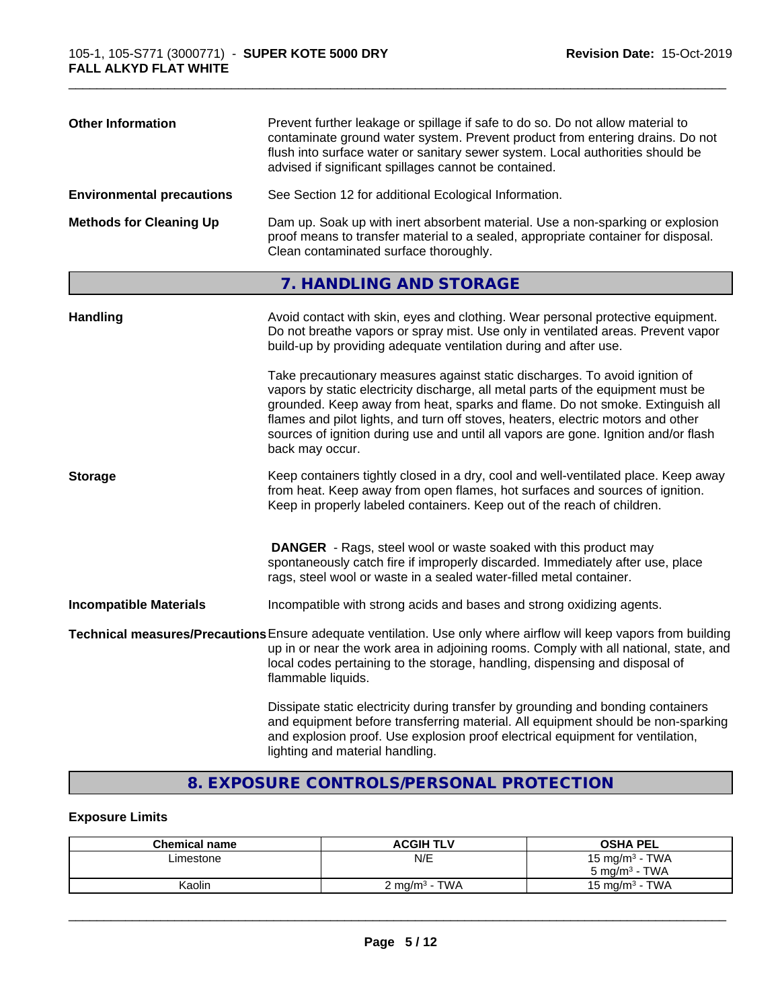| <b>Other Information</b>         | Prevent further leakage or spillage if safe to do so. Do not allow material to<br>contaminate ground water system. Prevent product from entering drains. Do not<br>flush into surface water or sanitary sewer system. Local authorities should be<br>advised if significant spillages cannot be contained. |  |
|----------------------------------|------------------------------------------------------------------------------------------------------------------------------------------------------------------------------------------------------------------------------------------------------------------------------------------------------------|--|
| <b>Environmental precautions</b> | See Section 12 for additional Ecological Information.                                                                                                                                                                                                                                                      |  |
| <b>Methods for Cleaning Up</b>   | Dam up. Soak up with inert absorbent material. Use a non-sparking or explosion<br>proof means to transfer material to a sealed, appropriate container for disposal.<br>Clean contaminated surface thoroughly.                                                                                              |  |

## **7. HANDLING AND STORAGE**

| <b>Handling</b>               | Avoid contact with skin, eyes and clothing. Wear personal protective equipment.<br>Do not breathe vapors or spray mist. Use only in ventilated areas. Prevent vapor<br>build-up by providing adequate ventilation during and after use.                                                                                                                                                                                                        |
|-------------------------------|------------------------------------------------------------------------------------------------------------------------------------------------------------------------------------------------------------------------------------------------------------------------------------------------------------------------------------------------------------------------------------------------------------------------------------------------|
|                               | Take precautionary measures against static discharges. To avoid ignition of<br>vapors by static electricity discharge, all metal parts of the equipment must be<br>grounded. Keep away from heat, sparks and flame. Do not smoke. Extinguish all<br>flames and pilot lights, and turn off stoves, heaters, electric motors and other<br>sources of ignition during use and until all vapors are gone. Ignition and/or flash<br>back may occur. |
| <b>Storage</b>                | Keep containers tightly closed in a dry, cool and well-ventilated place. Keep away<br>from heat. Keep away from open flames, hot surfaces and sources of ignition.<br>Keep in properly labeled containers. Keep out of the reach of children.                                                                                                                                                                                                  |
|                               | <b>DANGER</b> - Rags, steel wool or waste soaked with this product may<br>spontaneously catch fire if improperly discarded. Immediately after use, place<br>rags, steel wool or waste in a sealed water-filled metal container.                                                                                                                                                                                                                |
| <b>Incompatible Materials</b> | Incompatible with strong acids and bases and strong oxidizing agents.                                                                                                                                                                                                                                                                                                                                                                          |
|                               | Technical measures/Precautions Ensure adequate ventilation. Use only where airflow will keep vapors from building<br>up in or near the work area in adjoining rooms. Comply with all national, state, and<br>local codes pertaining to the storage, handling, dispensing and disposal of<br>flammable liquids.                                                                                                                                 |
|                               | Dissipate static electricity during transfer by grounding and bonding containers<br>and equipment before transferring material. All equipment should be non-sparking<br>and explosion proof. Use explosion proof electrical equipment for ventilation,                                                                                                                                                                                         |

## **8. EXPOSURE CONTROLS/PERSONAL PROTECTION**

lighting and material handling.

#### **Exposure Limits**

| <b>Chemical name</b> | <b>ACGIH TLV</b>                                      | <b>OSHA PEL</b>                |
|----------------------|-------------------------------------------------------|--------------------------------|
| ∟imestone            | N/E                                                   | 15 mg/m $3$ - TWA              |
|                      |                                                       | · TWA<br>5 mg/m <sup>3</sup> - |
| Kaolin               | <b>TWA</b><br>$\angle$ ma/m <sup>3</sup> - $\sqrt{7}$ | TWA<br>$15 \text{ ma/m}^3 - 1$ |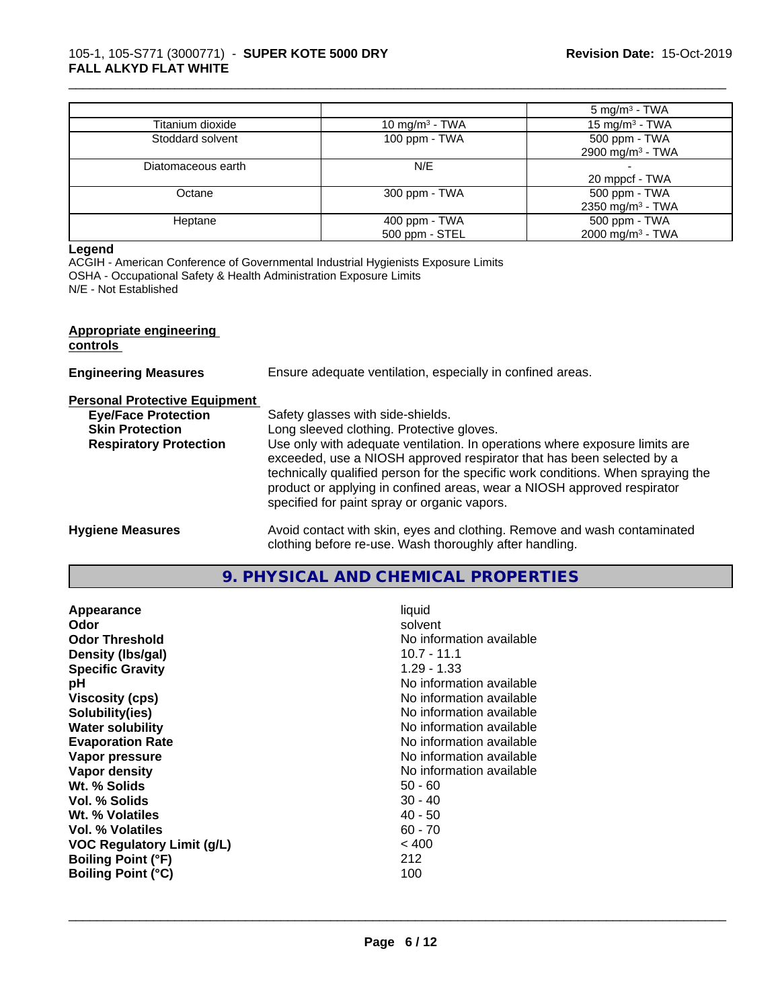#### 105-1, 105-S771 (3000771) - **SUPER KOTE 5000 DRY FALL ALKYD FLAT WHITE**

|                    |                            | $5 \text{ mg/m}^3$ - TWA     |
|--------------------|----------------------------|------------------------------|
| Titanium dioxide   | 10 mg/m <sup>3</sup> - TWA | 15 mg/m <sup>3</sup> - TWA   |
| Stoddard solvent   | 100 ppm - TWA              | 500 ppm - TWA                |
|                    |                            | 2900 mg/m <sup>3</sup> - TWA |
| Diatomaceous earth | N/E                        |                              |
|                    |                            | 20 mppcf - TWA               |
| Octane             | 300 ppm - TWA              | 500 ppm - TWA                |
|                    |                            | 2350 mg/m <sup>3</sup> - TWA |
| Heptane            | 400 ppm - TWA              | 500 ppm - TWA                |
|                    | 500 ppm - STEL             | 2000 mg/m <sup>3</sup> - TWA |

\_\_\_\_\_\_\_\_\_\_\_\_\_\_\_\_\_\_\_\_\_\_\_\_\_\_\_\_\_\_\_\_\_\_\_\_\_\_\_\_\_\_\_\_\_\_\_\_\_\_\_\_\_\_\_\_\_\_\_\_\_\_\_\_\_\_\_\_\_\_\_\_\_\_\_\_\_\_\_\_\_\_\_\_\_\_\_\_\_\_\_\_\_

#### **Legend**

ACGIH - American Conference of Governmental Industrial Hygienists Exposure Limits OSHA - Occupational Safety & Health Administration Exposure Limits

N/E - Not Established

#### **Appropriate engineering controls**

| <b>Engineering Measures</b>          | Ensure adequate ventilation, especially in confined areas.                                                                                                                                                                                                                                                                                                          |  |
|--------------------------------------|---------------------------------------------------------------------------------------------------------------------------------------------------------------------------------------------------------------------------------------------------------------------------------------------------------------------------------------------------------------------|--|
| <b>Personal Protective Equipment</b> |                                                                                                                                                                                                                                                                                                                                                                     |  |
| <b>Eye/Face Protection</b>           | Safety glasses with side-shields.                                                                                                                                                                                                                                                                                                                                   |  |
| <b>Skin Protection</b>               | Long sleeved clothing. Protective gloves.                                                                                                                                                                                                                                                                                                                           |  |
| <b>Respiratory Protection</b>        | Use only with adequate ventilation. In operations where exposure limits are<br>exceeded, use a NIOSH approved respirator that has been selected by a<br>technically qualified person for the specific work conditions. When spraying the<br>product or applying in confined areas, wear a NIOSH approved respirator<br>specified for paint spray or organic vapors. |  |
| <b>Hygiene Measures</b>              | Avoid contact with skin, eyes and clothing. Remove and wash contaminated<br>clothing before re-use. Wash thoroughly after handling.                                                                                                                                                                                                                                 |  |

## **9. PHYSICAL AND CHEMICAL PROPERTIES**

| Appearance                        | liquid                   |
|-----------------------------------|--------------------------|
| Odor                              | solvent                  |
| <b>Odor Threshold</b>             | No information available |
| Density (Ibs/gal)                 | 10.7 - 11.1              |
| <b>Specific Gravity</b>           | $1.29 - 1.33$            |
| рH                                | No information available |
| <b>Viscosity (cps)</b>            | No information available |
| Solubility(ies)                   | No information available |
| <b>Water solubility</b>           | No information available |
| <b>Evaporation Rate</b>           | No information available |
| Vapor pressure                    | No information available |
| Vapor density                     | No information available |
| Wt. % Solids                      | $50 - 60$                |
| Vol. % Solids                     | $30 - 40$                |
| Wt. % Volatiles                   | $40 - 50$                |
| Vol. % Volatiles                  | $60 - 70$                |
| <b>VOC Regulatory Limit (g/L)</b> | < 400                    |
| <b>Boiling Point (°F)</b>         | 212                      |
| <b>Boiling Point (°C)</b>         | 100                      |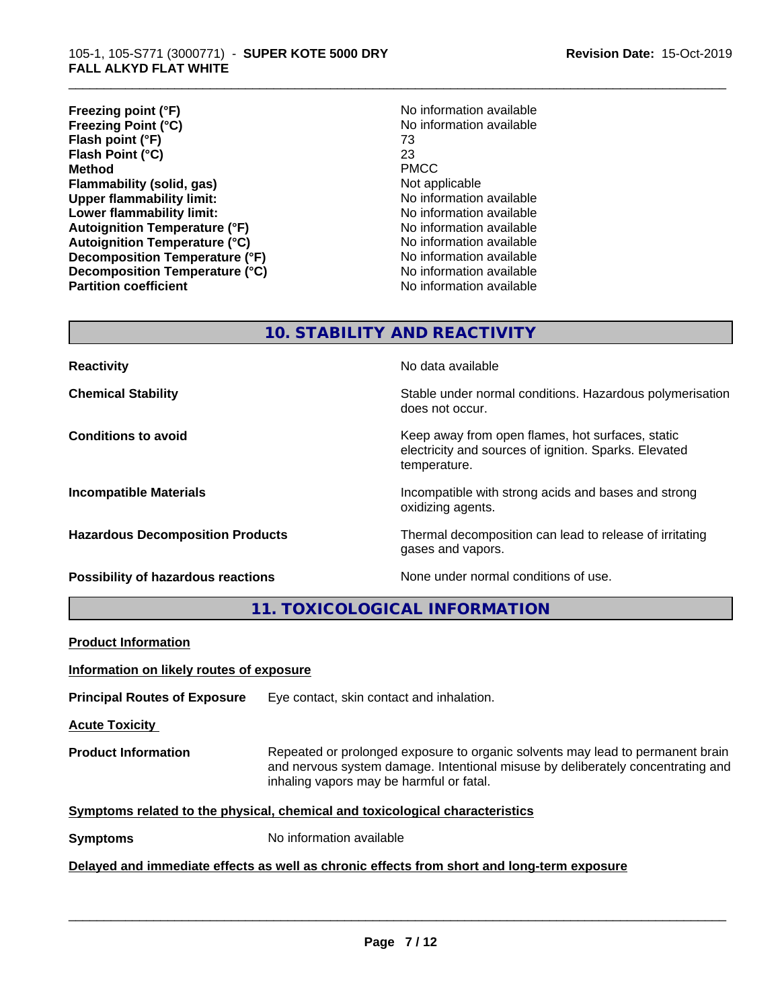- **Freezing point (°F)**<br> **Freezing Point (°C)**<br> **Freezing Point (°C)**<br> **No** information available **Freezing Point (°C)** No information available to the No information and No information and No information and N<br>Flash point (°F) 173 **Flash point (°F)** 73 **Flash Point (°C)** 23 **Method** PMCC **Flammability (solid, gas)** Not applicable **Upper flammability limit:**<br> **Lower flammability limit:** No information available<br>
No information available **Lower flammability limit:**<br> **Autoignition Temperature (°F)** No information available<br>
No information available **Autoignition Temperature (°F) Autoignition Temperature (°C)** No information available **Decomposition Temperature (°F)** No information available **Decomposition Temperature (°C)** No information available **Partition coefficient Contract Community No information available**
- 

## **10. STABILITY AND REACTIVITY**

**Possibility of hazardous reactions** None under normal conditions of use.

**Reactivity No data available No data available** 

**Chemical Stability Stability** Stable under normal conditions. Hazardous polymerisation does not occur.

**Conditions to avoid Keep away from open flames, hot surfaces, static conditions to avoid** electricity and sources of ignition. Sparks. Elevated temperature.

**Incompatible Materials Incompatible with strong acids and bases and strong** oxidizing agents.

**Hazardous Decomposition Products** Thermal decomposition can lead to release of irritating gases and vapors.

**11. TOXICOLOGICAL INFORMATION**

| <b>Product Information</b>               |                                                                                                                                                                                                               |  |
|------------------------------------------|---------------------------------------------------------------------------------------------------------------------------------------------------------------------------------------------------------------|--|
| Information on likely routes of exposure |                                                                                                                                                                                                               |  |
| <b>Principal Routes of Exposure</b>      | Eye contact, skin contact and inhalation.                                                                                                                                                                     |  |
| <b>Acute Toxicity</b>                    |                                                                                                                                                                                                               |  |
| <b>Product Information</b>               | Repeated or prolonged exposure to organic solvents may lead to permanent brain<br>and nervous system damage. Intentional misuse by deliberately concentrating and<br>inhaling vapors may be harmful or fatal. |  |
|                                          | Symptoms related to the physical, chemical and toxicological characteristics                                                                                                                                  |  |
| <b>Symptoms</b>                          | No information available                                                                                                                                                                                      |  |
|                                          | Delayed and immediate effects as well as chronic effects from short and long-term exposure                                                                                                                    |  |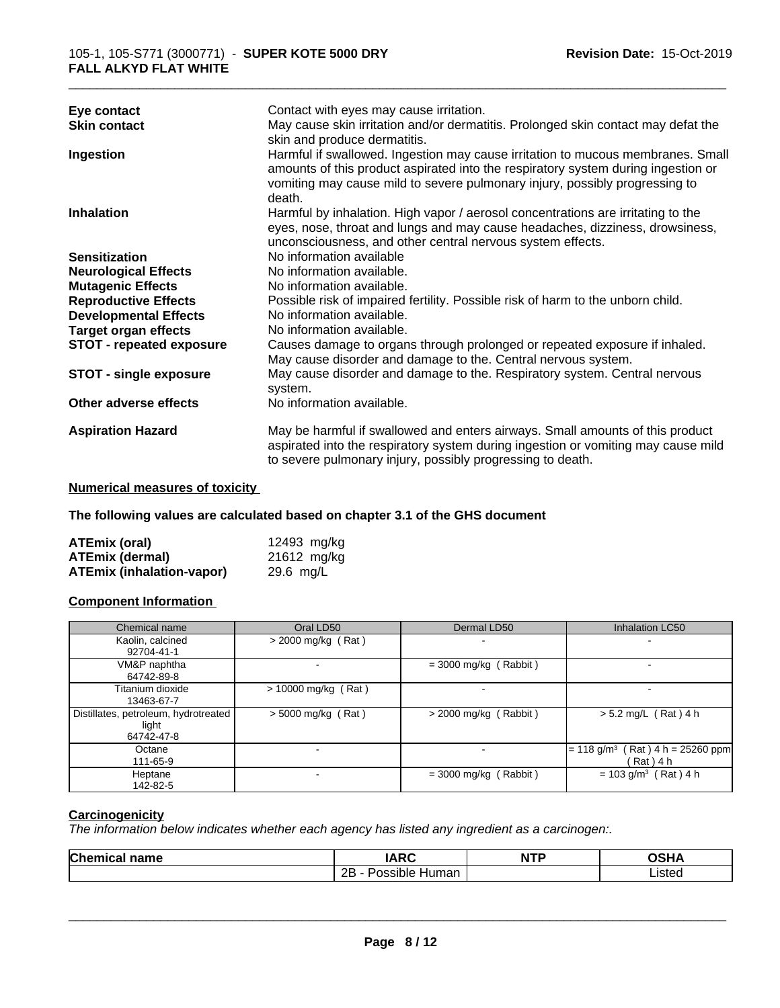| Eye contact                     | Contact with eyes may cause irritation.                                           |
|---------------------------------|-----------------------------------------------------------------------------------|
| <b>Skin contact</b>             | May cause skin irritation and/or dermatitis. Prolonged skin contact may defat the |
|                                 | skin and produce dermatitis.                                                      |
| Ingestion                       | Harmful if swallowed. Ingestion may cause irritation to mucous membranes. Small   |
|                                 | amounts of this product aspirated into the respiratory system during ingestion or |
|                                 | vomiting may cause mild to severe pulmonary injury, possibly progressing to       |
|                                 | death.                                                                            |
| <b>Inhalation</b>               | Harmful by inhalation. High vapor / aerosol concentrations are irritating to the  |
|                                 | eyes, nose, throat and lungs and may cause headaches, dizziness, drowsiness,      |
|                                 | unconsciousness, and other central nervous system effects.                        |
| <b>Sensitization</b>            | No information available                                                          |
| <b>Neurological Effects</b>     | No information available.                                                         |
| <b>Mutagenic Effects</b>        | No information available.                                                         |
| <b>Reproductive Effects</b>     | Possible risk of impaired fertility. Possible risk of harm to the unborn child.   |
| <b>Developmental Effects</b>    | No information available.                                                         |
| <b>Target organ effects</b>     | No information available.                                                         |
| <b>STOT - repeated exposure</b> | Causes damage to organs through prolonged or repeated exposure if inhaled.        |
|                                 | May cause disorder and damage to the. Central nervous system.                     |
| <b>STOT - single exposure</b>   | May cause disorder and damage to the. Respiratory system. Central nervous         |
|                                 | system.                                                                           |
| Other adverse effects           | No information available.                                                         |
|                                 |                                                                                   |
| <b>Aspiration Hazard</b>        | May be harmful if swallowed and enters airways. Small amounts of this product     |
|                                 | aspirated into the respiratory system during ingestion or vomiting may cause mild |
|                                 | to severe pulmonary injury, possibly progressing to death.                        |
|                                 |                                                                                   |

#### **Numerical measures of toxicity**

**The following values are calculated based on chapter 3.1 of the GHS document**

| <b>ATEmix (oral)</b>             | 12493 mg/kg |
|----------------------------------|-------------|
| <b>ATEmix (dermal)</b>           | 21612 mg/kg |
| <b>ATEmix (inhalation-vapor)</b> | 29.6 mg/L   |

#### **Component Information**

| Chemical name                                                 | Oral LD50                | Dermal LD50             | Inhalation LC50                                                   |
|---------------------------------------------------------------|--------------------------|-------------------------|-------------------------------------------------------------------|
| Kaolin, calcined<br>92704-41-1                                | $>$ 2000 mg/kg (Rat)     |                         |                                                                   |
| VM&P naphtha<br>64742-89-8                                    | $\overline{\phantom{a}}$ | $=$ 3000 mg/kg (Rabbit) |                                                                   |
| Titanium dioxide<br>13463-67-7                                | $> 10000$ mg/kg (Rat)    |                         |                                                                   |
| Distillates, petroleum, hydrotreated  <br>light<br>64742-47-8 | $> 5000$ mg/kg (Rat)     | $>$ 2000 mg/kg (Rabbit) | $> 5.2$ mg/L (Rat) 4 h                                            |
| Octane<br>111-65-9                                            | . .                      |                         | $(Rat)$ 4 h = 25260 ppm<br>$= 118$ g/m <sup>3</sup><br>(Rat ) 4 h |
| Heptane<br>142-82-5                                           |                          | $=$ 3000 mg/kg (Rabbit) | $= 103$ g/m <sup>3</sup> (Rat) 4 h                                |

## **Carcinogenicity**

*The information below indicateswhether each agency has listed any ingredient as a carcinogen:.*

| <b>Chemic</b><br>name<br>$\cdots$ | IADC<br>INI                                   | <b>NTP</b> | ດເ⊔∧<br>ЛP |
|-----------------------------------|-----------------------------------------------|------------|------------|
|                                   | <br>2E<br>Human<br>.ccihic<br><b>311/115.</b> |            | Listed     |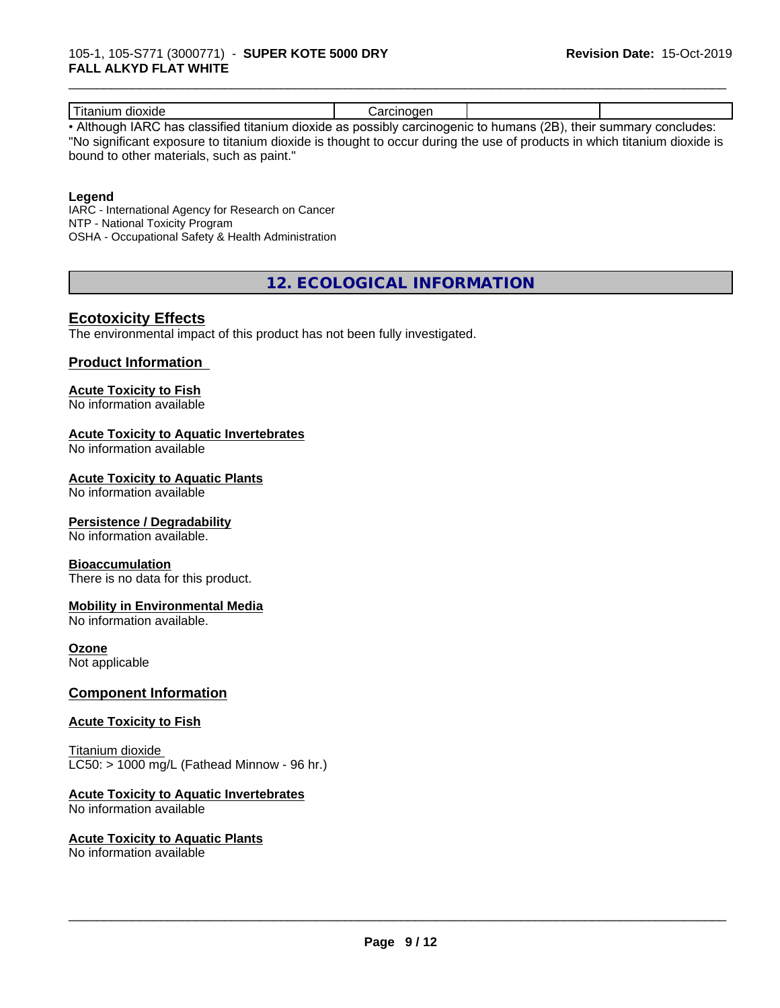| dioxide<br>uu.                                                         | .<br>----<br>10 H |                                                                                                                                                                                                                                              |                                                                                                                                                                                                                                       |
|------------------------------------------------------------------------|-------------------|----------------------------------------------------------------------------------------------------------------------------------------------------------------------------------------------------------------------------------------------|---------------------------------------------------------------------------------------------------------------------------------------------------------------------------------------------------------------------------------------|
| . .<br>$\mathbf{A}$<br>$\cdots$<br>and the contract of the contract of |                   | $\sqrt{2}$<br>and the contract of the contract of the contract of the contract of the contract of the contract of the contract of the contract of the contract of the contract of the contract of the contract of the contract of the contra | and the contract of the contract of the contract of the contract of the contract of the contract of the contract of the contract of the contract of the contract of the contract of the contract of the contract of the contra<br>___ |

• Although IARC has classified titanium dioxide as possibly carcinogenic to humans (2B), their summary concludes: "No significant exposure to titanium dioxide is thought to occur during the use of products in which titanium dioxide is bound to other materials, such as paint."

#### **Legend**

IARC - International Agency for Research on Cancer NTP - National Toxicity Program OSHA - Occupational Safety & Health Administration

**12. ECOLOGICAL INFORMATION**

#### **Ecotoxicity Effects**

The environmental impact of this product has not been fully investigated.

#### **Product Information**

#### **Acute Toxicity to Fish**

No information available

#### **Acute Toxicity to Aquatic Invertebrates**

No information available

#### **Acute Toxicity to Aquatic Plants**

No information available

#### **Persistence / Degradability**

No information available.

#### **Bioaccumulation**

There is no data for this product.

#### **Mobility in Environmental Media**

No information available.

#### **Ozone**

Not applicable

#### **Component Information**

#### **Acute Toxicity to Fish**

Titanium dioxide  $LC50:$  > 1000 mg/L (Fathead Minnow - 96 hr.)

#### **Acute Toxicity to Aquatic Invertebrates**

No information available

#### **Acute Toxicity to Aquatic Plants**

No information available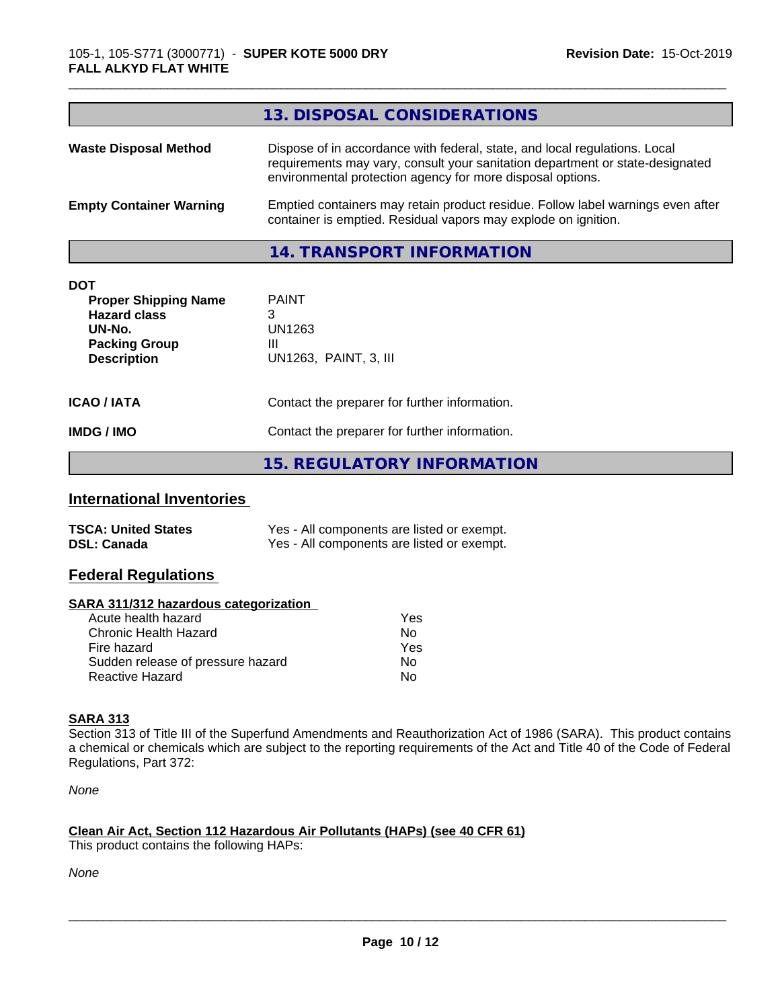|                                                                                                                          | 13. DISPOSAL CONSIDERATIONS                                                                                                                                                                                               |
|--------------------------------------------------------------------------------------------------------------------------|---------------------------------------------------------------------------------------------------------------------------------------------------------------------------------------------------------------------------|
| <b>Waste Disposal Method</b>                                                                                             | Dispose of in accordance with federal, state, and local regulations. Local<br>requirements may vary, consult your sanitation department or state-designated<br>environmental protection agency for more disposal options. |
| <b>Empty Container Warning</b>                                                                                           | Emptied containers may retain product residue. Follow label warnings even after<br>container is emptied. Residual vapors may explode on ignition.                                                                         |
|                                                                                                                          | 14. TRANSPORT INFORMATION                                                                                                                                                                                                 |
| <b>DOT</b><br><b>Proper Shipping Name</b><br><b>Hazard class</b><br>UN-No.<br><b>Packing Group</b><br><b>Description</b> | <b>PAINT</b><br>3<br><b>UN1263</b><br>Ш<br>UN1263, PAINT, 3, III                                                                                                                                                          |
| <b>ICAO / IATA</b>                                                                                                       | Contact the preparer for further information.                                                                                                                                                                             |

#### **IMDG / IMO** Contact the preparer for further information.

**15. REGULATORY INFORMATION**

## **International Inventories**

| <b>TSCA: United States</b> | Yes - All components are listed or exempt. |
|----------------------------|--------------------------------------------|
| <b>DSL: Canada</b>         | Yes - All components are listed or exempt. |

#### **Federal Regulations**

#### **SARA 311/312 hazardous categorization**

| Acute health hazard               | Yes |
|-----------------------------------|-----|
| Chronic Health Hazard             | Nο  |
| Fire hazard                       | Yes |
| Sudden release of pressure hazard | Nο  |
| Reactive Hazard                   | N٥  |

### **SARA 313**

Section 313 of Title III of the Superfund Amendments and Reauthorization Act of 1986 (SARA). This product contains a chemical or chemicals which are subject to the reporting requirements of the Act and Title 40 of the Code of Federal Regulations, Part 372:

*None*

#### **Clean Air Act,Section 112 Hazardous Air Pollutants (HAPs) (see 40 CFR 61)**

This product contains the following HAPs:

*None*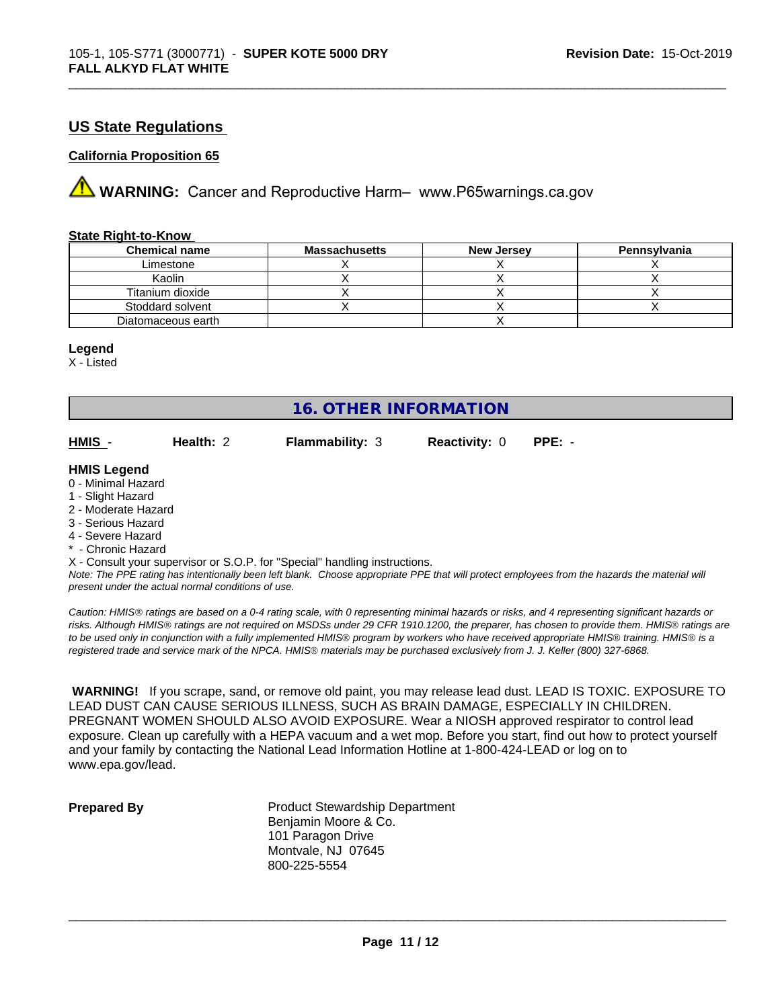#### **US State Regulations**

#### **California Proposition 65**

**A** WARNING: Cancer and Reproductive Harm– www.P65warnings.ca.gov

#### **State Right-to-Know**

| <b>Chemical name</b> | <b>Massachusetts</b> | <b>New Jersey</b> | Pennsylvania |
|----------------------|----------------------|-------------------|--------------|
| Limestone            |                      |                   |              |
| Kaolin               |                      |                   |              |
| Titanium dioxide     |                      |                   |              |
| Stoddard solvent     |                      |                   |              |
| Diatomaceous earth   |                      |                   |              |

#### **Legend**

X - Listed

### **16. OTHER INFORMATION**

**HMIS** - **Health:** 2 **Flammability:** 3 **Reactivity:** 0 **PPE:** -

\_\_\_\_\_\_\_\_\_\_\_\_\_\_\_\_\_\_\_\_\_\_\_\_\_\_\_\_\_\_\_\_\_\_\_\_\_\_\_\_\_\_\_\_\_\_\_\_\_\_\_\_\_\_\_\_\_\_\_\_\_\_\_\_\_\_\_\_\_\_\_\_\_\_\_\_\_\_\_\_\_\_\_\_\_\_\_\_\_\_\_\_\_

#### **HMIS Legend**

- 0 Minimal Hazard
- 1 Slight Hazard
- 2 Moderate Hazard
- 3 Serious Hazard
- 4 Severe Hazard
- **Chronic Hazard**

X - Consult your supervisor or S.O.P. for "Special" handling instructions.

*Note: The PPE rating has intentionally been left blank. Choose appropriate PPE that will protect employees from the hazards the material will present under the actual normal conditions of use.*

*Caution: HMISÒ ratings are based on a 0-4 rating scale, with 0 representing minimal hazards or risks, and 4 representing significant hazards or risks. Although HMISÒ ratings are not required on MSDSs under 29 CFR 1910.1200, the preparer, has chosen to provide them. HMISÒ ratings are to be used only in conjunction with a fully implemented HMISÒ program by workers who have received appropriate HMISÒ training. HMISÒ is a registered trade and service mark of the NPCA. HMISÒ materials may be purchased exclusively from J. J. Keller (800) 327-6868.*

 **WARNING!** If you scrape, sand, or remove old paint, you may release lead dust. LEAD IS TOXIC. EXPOSURE TO LEAD DUST CAN CAUSE SERIOUS ILLNESS, SUCH AS BRAIN DAMAGE, ESPECIALLY IN CHILDREN. PREGNANT WOMEN SHOULD ALSO AVOID EXPOSURE. Wear a NIOSH approved respirator to control lead exposure. Clean up carefully with a HEPA vacuum and a wet mop. Before you start, find out how to protect yourself and your family by contacting the National Lead Information Hotline at 1-800-424-LEAD or log on to www.epa.gov/lead.

**Prepared By** Product Stewardship Department Benjamin Moore & Co. 101 Paragon Drive Montvale, NJ 07645 800-225-5554